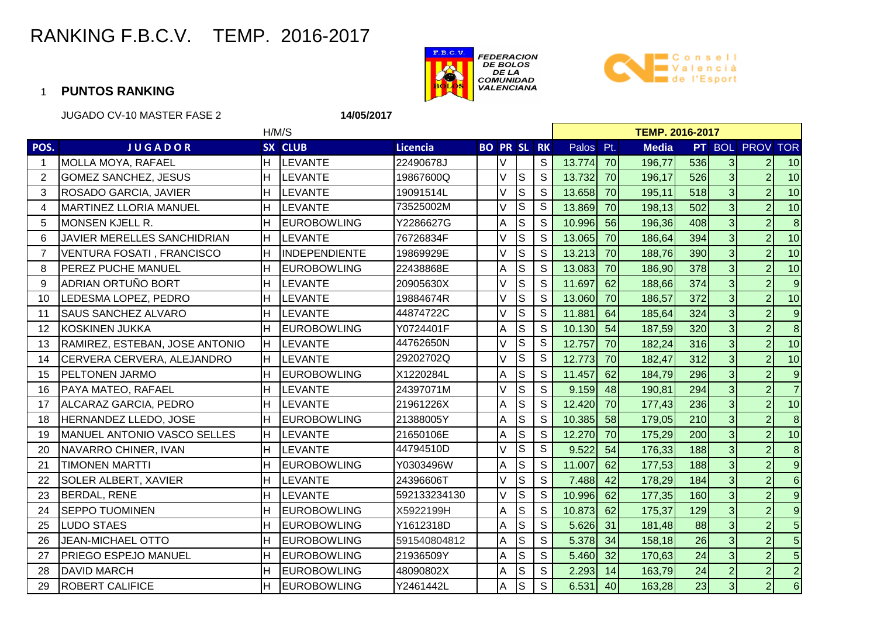



|             | <b>JUGADO CV-10 MASTER FASE 2</b><br>14/05/2017 |     |                    |                 |  |        |                         |                    |                        |    |              |     |                |                 |                         |  |  |  |
|-------------|-------------------------------------------------|-----|--------------------|-----------------|--|--------|-------------------------|--------------------|------------------------|----|--------------|-----|----------------|-----------------|-------------------------|--|--|--|
|             |                                                 |     | H/M/S              |                 |  |        |                         |                    | <b>TEMP. 2016-2017</b> |    |              |     |                |                 |                         |  |  |  |
| POS.        | <b>JUGADOR</b>                                  |     | SX CLUB            | <b>Licencia</b> |  |        |                         | <b>BO PR SL RK</b> | Palos Pt.              |    | <b>Media</b> |     |                | PT BOL PROV TOR |                         |  |  |  |
| $\mathbf 1$ | MOLLA MOYA, RAFAEL                              | H.  | <b>LEVANTE</b>     | 22490678J       |  | V      |                         | S                  | 13.774                 | 70 | 196,77       | 536 | 3 <sup>1</sup> | $\overline{2}$  | 10                      |  |  |  |
| 2           | <b>GOMEZ SANCHEZ, JESUS</b>                     | H   | <b>LEVANTE</b>     | 19867600Q       |  | V      | $\overline{\mathsf{s}}$ | S                  | 13.732                 | 70 | 196,17       | 526 | 3 <sup>1</sup> | $\overline{2}$  | 10                      |  |  |  |
| 3           | <b>ROSADO GARCIA, JAVIER</b>                    | H   | <b>LEVANTE</b>     | 19091514L       |  | $\vee$ | S                       | S                  | 13.658                 | 70 | 195,11       | 518 | $\overline{3}$ | $\overline{2}$  | 10                      |  |  |  |
| 4           | <b>MARTINEZ LLORIA MANUEL</b>                   | H   | <b>LEVANTE</b>     | 73525002M       |  |        | $\mathsf{S}$            | S                  | 13.869                 | 70 | 198,13       | 502 | $\overline{3}$ | $\overline{2}$  | 10                      |  |  |  |
| 5           | MONSEN KJELL R.                                 | H   | <b>EUROBOWLING</b> | Y2286627G       |  | A      | $\mathsf S$             | S                  | 10.996                 | 56 | 196,36       | 408 | $\overline{3}$ | $\overline{2}$  | $\infty$                |  |  |  |
| 6           | JAVIER MERELLES SANCHIDRIAN                     | lн  | <b>LEVANTE</b>     | 76726834F       |  |        | $\mathsf{S}$            | S                  | 13.065                 | 70 | 186,64       | 394 | 3 <sup>1</sup> | $\overline{2}$  | 10                      |  |  |  |
| 7           | VENTURA FOSATI, FRANCISCO                       | H   | INDEPENDIENTE      | 19869929E       |  |        | $\mathbf S$             | S                  | 13.213                 | 70 | 188,76       | 390 | 3 <sup>1</sup> | $\overline{2}$  | 10                      |  |  |  |
| 8           | <b>PEREZ PUCHE MANUEL</b>                       | H   | <b>EUROBOWLING</b> | 22438868E       |  | A      | S                       | S                  | 13.083                 | 70 | 186,90       | 378 | $\overline{3}$ | $\overline{2}$  | 10                      |  |  |  |
| 9           | ADRIAN ORTUÑO BORT                              | H   | <b>LEVANTE</b>     | 20905630X       |  | V      | S                       | S                  | 11.697                 | 62 | 188,66       | 374 | $\overline{3}$ | $\overline{2}$  | $\overline{9}$          |  |  |  |
| 10          | LEDESMA LOPEZ, PEDRO                            | H   | <b>LEVANTE</b>     | 19884674R       |  |        | $\mathsf{S}$            | S                  | 13.060                 | 70 | 186,57       | 372 | $\overline{3}$ | $\overline{2}$  | 10                      |  |  |  |
| 11          | <b>SAUS SANCHEZ ALVARO</b>                      | H   | <b>LEVANTE</b>     | 44874722C       |  |        | ls                      | S                  | 11.881                 | 64 | 185,64       | 324 | $\overline{3}$ | $\overline{2}$  | $\overline{9}$          |  |  |  |
| 12          | KOSKINEN JUKKA                                  | H   | <b>EUROBOWLING</b> | Y0724401F       |  | A      | $\mathsf{S}$            | S                  | 10.130                 | 54 | 187,59       | 320 | $\overline{3}$ | $\overline{2}$  | $\infty$                |  |  |  |
| 13          | RAMIREZ, ESTEBAN, JOSE ANTONIO                  | H.  | <b>LEVANTE</b>     | 44762650N       |  |        | $\mathsf{S}$            | S                  | 12.757                 | 70 | 182,24       | 316 | 3 <sup>1</sup> | $\overline{2}$  | 10                      |  |  |  |
| 14          | CERVERA CERVERA, ALEJANDRO                      | lH. | <b>LEVANTE</b>     | 29202702Q       |  |        | $\mathsf{S}$            | S                  | 12.773                 | 70 | 182,47       | 312 | $\overline{3}$ | $\overline{2}$  | 10                      |  |  |  |
| 15          | <b>PELTONEN JARMO</b>                           | H   | <b>EUROBOWLING</b> | X1220284L       |  | A      | S                       | S                  | 11.457                 | 62 | 184,79       | 296 | $\overline{3}$ | $\overline{2}$  | $\overline{\mathbf{9}}$ |  |  |  |
| 16          | <b>PAYA MATEO, RAFAEL</b>                       | Н   | <b>LEVANTE</b>     | 24397071M       |  |        | S                       | S                  | 9.159                  | 48 | 190,81       | 294 | $\overline{3}$ | $\overline{2}$  | $\overline{7}$          |  |  |  |
| 17          | ALCARAZ GARCIA, PEDRO                           | H   | <b>LEVANTE</b>     | 21961226X       |  | A      | S                       | S                  | 12.420                 | 70 | 177,43       | 236 | $\overline{3}$ | $\overline{2}$  | 10                      |  |  |  |
| 18          | HERNANDEZ LLEDO, JOSE                           | H   | <b>EUROBOWLING</b> | 21388005Y       |  | Α      | $\mathsf S$             | S                  | 10.385                 | 58 | 179,05       | 210 | 3 <sup>1</sup> | $\overline{2}$  | $\delta$                |  |  |  |
| 19          | <b>MANUEL ANTONIO VASCO SELLES</b>              | lH. | <b>LEVANTE</b>     | 21650106E       |  | Α      | S                       | S                  | 12.270                 | 70 | 175,29       | 200 | $\overline{3}$ | $\overline{2}$  | 10                      |  |  |  |
| 20          | NAVARRO CHINER, IVAN                            | H.  | <b>LEVANTE</b>     | 44794510D       |  |        | S                       | S                  | 9.522                  | 54 | 176,33       | 188 | $\overline{3}$ | $\overline{2}$  | $\bf{8}$                |  |  |  |
| 21          | <b>TIMONEN MARTTI</b>                           | Н   | <b>EUROBOWLING</b> | Y0303496W       |  | А      | S                       | S                  | 11.007                 | 62 | 177,53       | 188 | $\overline{3}$ | $\overline{2}$  | $\overline{9}$          |  |  |  |
| 22          | <b>SOLER ALBERT, XAVIER</b>                     | H   | <b>LEVANTE</b>     | 24396606T       |  | $\vee$ | S                       | S                  | 7.488                  | 42 | 178,29       | 184 | $\overline{3}$ | $\overline{2}$  | $6\overline{6}$         |  |  |  |
| 23          | <b>BERDAL, RENE</b>                             | H   | <b>LEVANTE</b>     | 592133234130    |  |        | $\mathsf{S}$            | S                  | 10.996                 | 62 | 177,35       | 160 | $\overline{3}$ | $\overline{2}$  | $\overline{9}$          |  |  |  |
| 24          | <b>SEPPO TUOMINEN</b>                           | Н   | <b>EUROBOWLING</b> | X5922199H       |  | А      | S                       | S                  | 10.873                 | 62 | 175,37       | 129 | 3 <sup>1</sup> | $\overline{2}$  | $\boldsymbol{9}$        |  |  |  |
| 25          | <b>LUDO STAES</b>                               | H   | <b>EUROBOWLING</b> | Y1612318D       |  | Α      | $\mathsf{S}$            | S                  | 5.626                  | 31 | 181,48       | 88  | $\overline{3}$ | $\overline{2}$  | $\overline{5}$          |  |  |  |
| 26          | <b>JEAN-MICHAEL OTTO</b>                        | H   | <b>EUROBOWLING</b> | 591540804812    |  | Α      | S                       | S                  | 5.378                  | 34 | 158,18       | 26  | $\overline{3}$ | $\overline{2}$  | $\overline{5}$          |  |  |  |
| 27          | <b>PRIEGO ESPEJO MANUEL</b>                     | H   | <b>EUROBOWLING</b> | 21936509Y       |  | Α      | S                       | S                  | 5.460                  | 32 | 170,63       | 24  | $\overline{3}$ | $\overline{2}$  | $\overline{5}$          |  |  |  |
| 28          | <b>DAVID MARCH</b>                              | H   | <b>EUROBOWLING</b> | 48090802X       |  | A      | S                       | $\mathsf{S}$       | 2.293                  | 14 | 163,79       | 24  | $\overline{2}$ | $\overline{2}$  | $\overline{2}$          |  |  |  |
| 29          | <b>ROBERT CALIFICE</b>                          | lн  | <b>EUROBOWLING</b> | Y2461442L       |  | A      | ls                      | $\mathsf{S}$       | 6.531                  | 40 | 163,28       | 23  | 3 <sup>1</sup> | $\overline{2}$  | $6\overline{6}$         |  |  |  |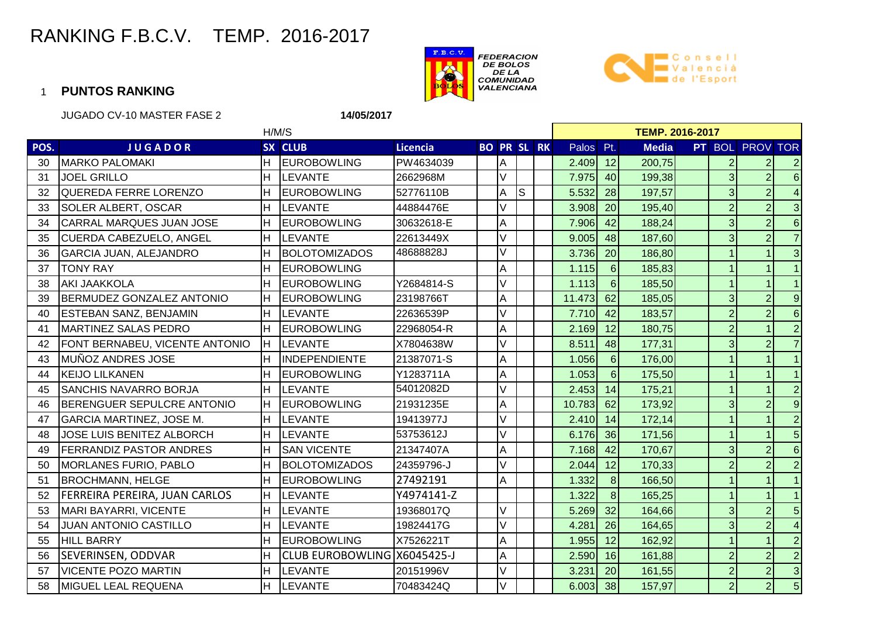



|      | <b>JUGADO CV-10 MASTER FASE 2</b><br>14/05/2017 |       |                             |                 |                    |        |   |  |                        |                 |              |  |                |                 |                         |  |  |  |
|------|-------------------------------------------------|-------|-----------------------------|-----------------|--------------------|--------|---|--|------------------------|-----------------|--------------|--|----------------|-----------------|-------------------------|--|--|--|
|      |                                                 | H/M/S |                             |                 |                    |        |   |  | <b>TEMP. 2016-2017</b> |                 |              |  |                |                 |                         |  |  |  |
| POS. | <b>JUGADOR</b>                                  |       | SX CLUB                     | <b>Licencia</b> | <b>BO PR SL RK</b> |        |   |  | Palos Pt.              |                 | <b>Media</b> |  |                | PT BOL PROV TOR |                         |  |  |  |
| 30   | <b>MARKO PALOMAKI</b>                           | H.    | <b>EUROBOWLING</b>          | PW4634039       |                    | Α      |   |  | 2.409                  | 12              | 200,75       |  |                | $\overline{2}$  | $\overline{2}$          |  |  |  |
| 31   | <b>JOEL GRILLO</b>                              | H.    | <b>LEVANTE</b>              | 2662968M        |                    | $\vee$ |   |  | 7.975                  | 40              | 199,38       |  | 3 <sup>1</sup> | $\overline{2}$  | $6\overline{6}$         |  |  |  |
| 32   | QUEREDA FERRE LORENZO                           | H     | <b>EUROBOWLING</b>          | 52776110B       |                    | Α      | S |  | 5.532                  | 28              | 197,57       |  | $\overline{3}$ | $\overline{2}$  | $\overline{4}$          |  |  |  |
| 33   | <b>SOLER ALBERT, OSCAR</b>                      | H     | <b>LEVANTE</b>              | 44884476E       |                    |        |   |  | 3.908                  | 20              | 195,40       |  | $\overline{2}$ | $\overline{2}$  | $\overline{3}$          |  |  |  |
| 34   | CARRAL MARQUES JUAN JOSE                        | lH.   | <b>EUROBOWLING</b>          | 30632618-E      |                    | A      |   |  | 7.906                  | 42              | 188,24       |  | 3              | $\overline{2}$  | $6\overline{6}$         |  |  |  |
| 35   | <b>CUERDA CABEZUELO, ANGEL</b>                  | lн    | <b>LEVANTE</b>              | 22613449X       |                    | V      |   |  | 9.005                  | 48              | 187,60       |  |                | $\overline{2}$  | $\overline{7}$          |  |  |  |
| 36   | <b>GARCIA JUAN, ALEJANDRO</b>                   | H     | <b>BOLOTOMIZADOS</b>        | 48688828J       |                    | $\vee$ |   |  | 3.736                  | 20              | 186,80       |  |                |                 | $\overline{3}$          |  |  |  |
| 37   | <b>TONY RAY</b>                                 | H     | <b>EUROBOWLING</b>          |                 |                    | A      |   |  | 1.115                  | $6\phantom{1}6$ | 185,83       |  |                | $\mathbf{1}$    | $\overline{1}$          |  |  |  |
| 38   | <b>AKI JAAKKOLA</b>                             | lн    | <b>EUROBOWLING</b>          | Y2684814-S      |                    | $\vee$ |   |  | 1.113                  | $6\phantom{1}6$ | 185,50       |  |                |                 | $\overline{1}$          |  |  |  |
| 39   | BERMUDEZ GONZALEZ ANTONIO                       | H.    | <b>EUROBOWLING</b>          | 23198766T       |                    | Α      |   |  | 11.473                 | 62              | 185,05       |  | 3              | $\overline{2}$  | $\overline{9}$          |  |  |  |
| 40   | <b>ESTEBAN SANZ, BENJAMIN</b>                   | lH.   | <b>LEVANTE</b>              | 22636539P       |                    | V      |   |  | 7.710                  | 42              | 183,57       |  | $\overline{2}$ | $\overline{2}$  | $\boldsymbol{6}$        |  |  |  |
| 41   | <b>MARTINEZ SALAS PEDRO</b>                     | lн    | <b>EUROBOWLING</b>          | 22968054-R      |                    | A      |   |  | 2.169                  | 12              | 180,75       |  | $\overline{2}$ |                 | $\overline{2}$          |  |  |  |
| 42   | FONT BERNABEU, VICENTE ANTONIO                  | H.    | <b>LEVANTE</b>              | X7804638W       |                    | V      |   |  | 8.511                  | 48              | 177,31       |  | 3              | $\overline{2}$  | $\overline{7}$          |  |  |  |
| 43   | <b>MUÑOZ ANDRES JOSE</b>                        | lH.   | <b>INDEPENDIENTE</b>        | 21387071-S      |                    | A      |   |  | 1.056                  | 6               | 176,00       |  |                |                 | $\overline{1}$          |  |  |  |
| 44   | <b>KEIJO LILKANEN</b>                           | H     | <b>EUROBOWLING</b>          | Y1283711A       |                    | A      |   |  | 1.053                  | $6\phantom{1}6$ | 175,50       |  |                |                 | $\vert$ 1               |  |  |  |
| 45   | <b>SANCHIS NAVARRO BORJA</b>                    | H     | <b>LEVANTE</b>              | 54012082D       |                    | V      |   |  | 2.453                  | 14              | 175,21       |  |                |                 | $\overline{2}$          |  |  |  |
| 46   | BERENGUER SEPULCRE ANTONIO                      | H.    | <b>EUROBOWLING</b>          | 21931235E       |                    | A      |   |  | 10.783                 | 62              | 173,92       |  | 3              | $\overline{2}$  | $\overline{9}$          |  |  |  |
| 47   | <b>GARCIA MARTINEZ, JOSE M.</b>                 | H     | LEVANTE                     | 19413977J       |                    | V      |   |  | 2.410                  | 14              | 172,14       |  |                |                 | $\overline{2}$          |  |  |  |
| 48   | JOSE LUIS BENITEZ ALBORCH                       | lн    | <b>LEVANTE</b>              | 53753612J       |                    | V      |   |  | 6.176                  | 36              | 171,56       |  |                |                 | $\overline{5}$          |  |  |  |
| 49   | <b>FERRANDIZ PASTOR ANDRES</b>                  | H     | <b>SAN VICENTE</b>          | 21347407A       |                    | A      |   |  | 7.168                  | 42              | 170,67       |  | 3              | $\overline{2}$  | $6\overline{6}$         |  |  |  |
| 50   | <b>MORLANES FURIO, PABLO</b>                    | H     | <b>BOLOTOMIZADOS</b>        | 24359796-J      |                    | V      |   |  | 2.044                  | 12              | 170,33       |  |                | $\overline{2}$  | $\overline{2}$          |  |  |  |
| 51   | <b>BROCHMANN, HELGE</b>                         | lн    | <b>EUROBOWLING</b>          | 27492191        |                    | A      |   |  | 1.332                  | 8               | 166,50       |  |                |                 | $\vert$ 1               |  |  |  |
| 52   | <b>FERREIRA PEREIRA, JUAN CARLOS</b>            | H.    | <b>LEVANTE</b>              | Y4974141-Z      |                    |        |   |  | 1.322                  | $\overline{8}$  | 165,25       |  |                |                 | $\vert$ 1               |  |  |  |
| 53   | MARI BAYARRI, VICENTE                           | Н     | <b>LEVANTE</b>              | 19368017Q       |                    | V      |   |  | 5.269                  | 32              | 164,66       |  | 3              | $\overline{2}$  | $\overline{5}$          |  |  |  |
| 54   | <b>JUAN ANTONIO CASTILLO</b>                    | H     | <b>LEVANTE</b>              | 19824417G       |                    | V      |   |  | 4.281                  | 26              | 164,65       |  | $\overline{3}$ | $\overline{2}$  | $\overline{\mathbf{4}}$ |  |  |  |
| 55   | <b>HILL BARRY</b>                               | H     | <b>EUROBOWLING</b>          | X7526221T       |                    | A      |   |  | 1.955                  | 12              | 162,92       |  |                |                 | $\overline{2}$          |  |  |  |
| 56   | <b>SEVERINSEN, ODDVAR</b>                       | H     | CLUB EUROBOWLING X6045425-J |                 |                    | A      |   |  | 2.590                  | 16              | 161,88       |  | $\overline{2}$ | $\overline{c}$  | $\overline{2}$          |  |  |  |
| 57   | <b>VICENTE POZO MARTIN</b>                      | H     | LEVANTE                     | 20151996V       |                    | V      |   |  | 3.231                  | 20              | 161,55       |  | $\overline{2}$ | $\overline{2}$  | $\overline{3}$          |  |  |  |
| 58   | <b>MIGUEL LEAL REQUENA</b>                      | lн    | <b>LEVANTE</b>              | 70483424Q       |                    | lv.    |   |  | 6.003                  | 38              | 157,97       |  | $\overline{2}$ | $\overline{2}$  | $5\overline{)}$         |  |  |  |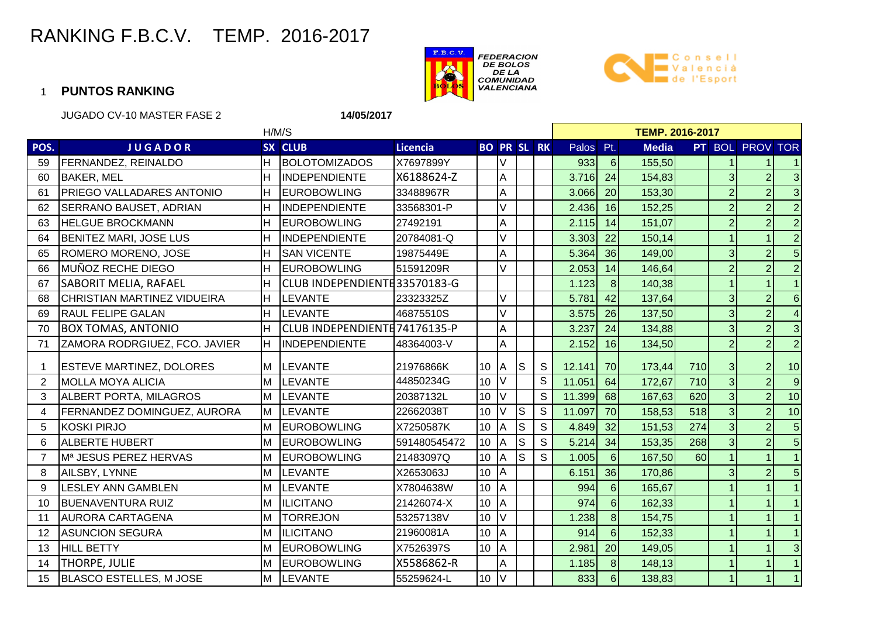



|                | <b>JUGADO CV-10 MASTER FASE 2</b><br>14/05/2017 |     |                              |                 |                 |                         |             |   |                        |                 |              |     |                |                        |                         |  |  |  |
|----------------|-------------------------------------------------|-----|------------------------------|-----------------|-----------------|-------------------------|-------------|---|------------------------|-----------------|--------------|-----|----------------|------------------------|-------------------------|--|--|--|
|                |                                                 |     | H/M/S                        |                 |                 |                         |             |   | <b>TEMP. 2016-2017</b> |                 |              |     |                |                        |                         |  |  |  |
| POS.           | <b>JUGADOR</b>                                  |     | SX CLUB                      | <b>Licencia</b> |                 | <b>BO PR SL RK</b>      |             |   | Palos Pt.              |                 | <b>Media</b> |     |                | <b>PT</b> BOL PROV TOR |                         |  |  |  |
| 59             | FERNANDEZ, REINALDO                             | H.  | <b>BOLOTOMIZADOS</b>         | X7697899Y       |                 |                         |             |   | 933                    | 6               | 155,50       |     |                |                        |                         |  |  |  |
| 60             | <b>BAKER, MEL</b>                               | H   | <b>INDEPENDIENTE</b>         | X6188624-Z      |                 | Α                       |             |   | 3.716                  | 24              | 154,83       |     | 3              | $\overline{2}$         | $\mathbf{3}$            |  |  |  |
| 61             | <b>PRIEGO VALLADARES ANTONIO</b>                | H   | <b>EUROBOWLING</b>           | 33488967R       |                 | A                       |             |   | 3.066                  | 20              | 153,30       |     |                | $\overline{2}$         | $\omega$                |  |  |  |
| 62             | <b>SERRANO BAUSET, ADRIAN</b>                   | H   | <b>INDEPENDIENTE</b>         | 33568301-P      |                 |                         |             |   | 2.436                  | 16              | 152,25       |     | $\overline{2}$ | $\overline{2}$         | $\overline{2}$          |  |  |  |
| 63             | <b>HELGUE BROCKMANN</b>                         | H.  | <b>EUROBOWLING</b>           | 27492191        |                 | A                       |             |   | 2.115                  | 14              | 151,07       |     | $\overline{2}$ | $\overline{2}$         | $\overline{2}$          |  |  |  |
| 64             | BENITEZ MARI, JOSE LUS                          | H   | <b>INDEPENDIENTE</b>         | 20784081-Q      |                 |                         |             |   | 3.303                  | 22              | 150,14       |     |                |                        | $\overline{2}$          |  |  |  |
| 65             | ROMERO MORENO, JOSE                             | H.  | <b>SAN VICENTE</b>           | 19875449E       |                 | A                       |             |   | 5.364                  | 36              | 149,00       |     | 3              | $\overline{2}$         | $\overline{5}$          |  |  |  |
| 66             | MUÑOZ RECHE DIEGO                               | H.  | <b>EUROBOWLING</b>           | 51591209R       |                 | $\vee$                  |             |   | 2.053                  | 14              | 146,64       |     | $\overline{2}$ | $\overline{2}$         | $\overline{2}$          |  |  |  |
| 67             | SABORIT MELIA, RAFAEL                           | H   | CLUB INDEPENDIENTE33570183-G |                 |                 |                         |             |   | 1.123                  | 8               | 140,38       |     |                |                        | $\overline{1}$          |  |  |  |
| 68             | CHRISTIAN MARTINEZ VIDUEIRA                     |     | H LEVANTE                    | 23323325Z       |                 | $\vee$                  |             |   | 5.781                  | 42              | 137,64       |     | $\overline{3}$ | $\overline{2}$         | $6\overline{6}$         |  |  |  |
| 69             | <b>RAUL FELIPE GALAN</b>                        | H   | <b>LEVANTE</b>               | 46875510S       |                 | $\vee$                  |             |   | 3.575                  | 26              | 137,50       |     | 3              | $\overline{2}$         | $\overline{\mathbf{4}}$ |  |  |  |
| 70             | <b>BOX TOMAS, ANTONIO</b>                       | lH. | CLUB INDEPENDIENTE74176135-P |                 |                 | A                       |             |   | 3.237                  | 24              | 134,88       |     | $\overline{3}$ | $\overline{2}$         | $\omega$                |  |  |  |
| 71             | ZAMORA RODRGIUEZ, FCO. JAVIER                   | H.  | INDEPENDIENTE                | 48364003-V      |                 | A                       |             |   | 2.152                  | 16              | 134,50       |     |                | $\overline{2}$         | $\overline{2}$          |  |  |  |
| $\overline{1}$ | <b>ESTEVE MARTINEZ, DOLORES</b>                 | M   | <b>LEVANTE</b>               | 21976866K       | 10 <sup>°</sup> | IA.                     | S           | S | 12.141                 | 70              | 173,44       | 710 | 3 <sub>l</sub> | $\overline{2}$         | 10                      |  |  |  |
| $\overline{2}$ | <b>MOLLA MOYA ALICIA</b>                        | Iм  | <b>LEVANTE</b>               | 44850234G       | 10              |                         |             | S | 11.051                 | 64              | 172,67       | 710 | $\overline{3}$ | $\overline{2}$         | 9                       |  |  |  |
| 3              | <b>ALBERT PORTA, MILAGROS</b>                   | M   | <b>LEVANTE</b>               | 20387132L       | 10              |                         |             | S | 11.399                 | 68              | 167,63       | 620 | $\overline{3}$ | $\overline{2}$         | 10                      |  |  |  |
| 4              | <b>FERNANDEZ DOMINGUEZ, AURORA</b>              | M   | <b>LEVANTE</b>               | 22662038T       | 10              |                         | $\vert$ S   | S | 11.097                 | 70              | 158,53       | 518 | $\overline{3}$ | $\overline{2}$         | 10                      |  |  |  |
| 5              | KOSKI PIRJO                                     | lм  | <b>EUROBOWLING</b>           | X7250587K       | 10              | A                       | $\mathsf S$ | S | 4.849                  | 32              | 151,53       | 274 | $\overline{3}$ | $\overline{2}$         | $5\overline{)}$         |  |  |  |
| 6              | <b>ALBERTE HUBERT</b>                           | ΙM  | <b>EUROBOWLING</b>           | 591480545472    | 10              | A                       | S           | S | 5.214                  | 34              | 153,35       | 268 | $\overline{3}$ |                        | $\overline{5}$          |  |  |  |
| $\overline{7}$ | Mª JESUS PEREZ HERVAS                           | M   | <b>EUROBOWLING</b>           | 21483097Q       | 10              | A                       | $\mathsf S$ | S | 1.005                  | $6\phantom{1}6$ | 167,50       | 60  |                |                        | $\overline{1}$          |  |  |  |
| 8              | AILSBY, LYNNE                                   | IМ  | LEVANTE                      | X2653063J       | 10              | IΑ                      |             |   | 6.151                  | 36              | 170,86       |     | 3              | $\overline{2}$         | $5\overline{)}$         |  |  |  |
| 9              | <b>LESLEY ANN GAMBLEN</b>                       | M   | <b>LEVANTE</b>               | X7804638W       | 10 <sup>°</sup> | IА                      |             |   | 994                    | 6               | 165,67       |     |                |                        | $\vert$ 1               |  |  |  |
| 10             | <b>BUENAVENTURA RUIZ</b>                        | M   | <b>ILICITANO</b>             | 21426074-X      | 10              | <b>A</b>                |             |   | 974                    | $6\phantom{1}$  | 162,33       |     |                |                        | $\mathbf{1}$            |  |  |  |
| 11             | <b>AURORA CARTAGENA</b>                         | M   | <b>TORREJON</b>              | 53257138V       | 10              | V                       |             |   | 1.238                  | 8               | 154,75       |     |                |                        | 1                       |  |  |  |
| 12             | <b>ASUNCION SEGURA</b>                          | M   | <b>ILICITANO</b>             | 21960081A       | 10              | <b>A</b>                |             |   | 914                    | $6\phantom{1}$  | 152,33       |     |                |                        | $\overline{1}$          |  |  |  |
| 13             | <b>HILL BETTY</b>                               | ΙM  | <b>EUROBOWLING</b>           | X7526397S       | $10$ A          |                         |             |   | 2.981                  | 20              | 149,05       |     |                |                        | $\overline{3}$          |  |  |  |
| 14             | <b>THORPE, JULIE</b>                            | M   | <b>EUROBOWLING</b>           | X5586862-R      |                 | A                       |             |   | 1.185                  | 8               | 148,13       |     |                |                        | $\vert$ 1               |  |  |  |
| 15             | BLASCO ESTELLES, M JOSE                         | M   | <b>LEVANTE</b>               | 55259624-L      | 10              | $\mathsf{I} \mathsf{V}$ |             |   | 833                    | $6 \mid$        | 138,83       |     | 1              | 1                      | $\mathbf{1}$            |  |  |  |